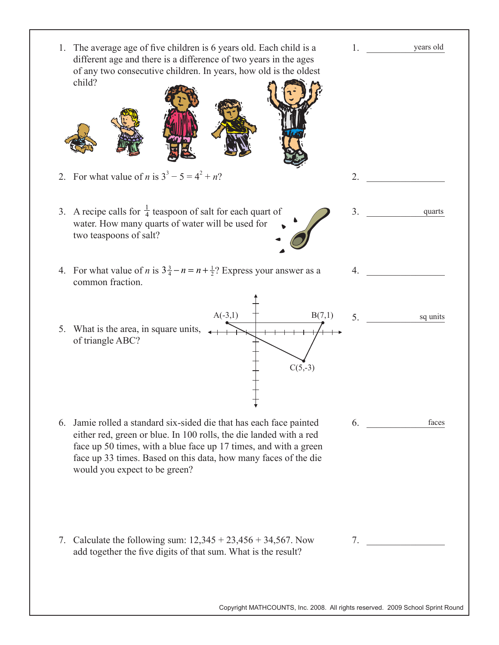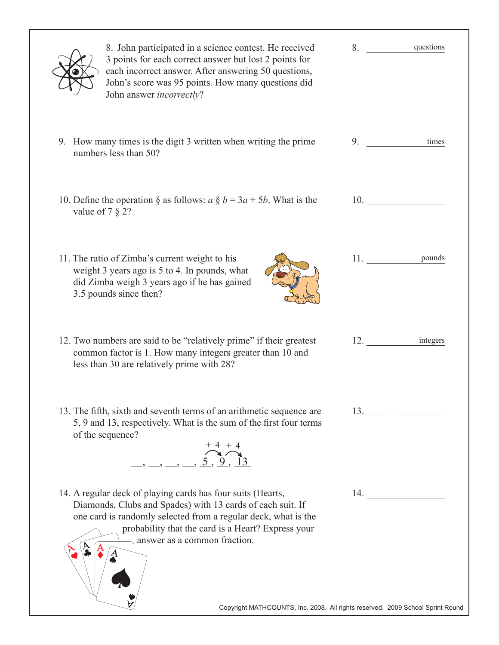| 8. John participated in a science contest. He received<br>3 points for each correct answer but lost 2 points for<br>each incorrect answer. After answering 50 questions,<br>John's score was 95 points. How many questions did<br>John answer <i>incorrectly</i> ?                                                                                                                                                                                                                                                                                                                                                                                                                                                                                                                                                                                                                                | 8. questions    |  |
|---------------------------------------------------------------------------------------------------------------------------------------------------------------------------------------------------------------------------------------------------------------------------------------------------------------------------------------------------------------------------------------------------------------------------------------------------------------------------------------------------------------------------------------------------------------------------------------------------------------------------------------------------------------------------------------------------------------------------------------------------------------------------------------------------------------------------------------------------------------------------------------------------|-----------------|--|
| 9. How many times is the digit 3 written when writing the prime<br>numbers less than 50?                                                                                                                                                                                                                                                                                                                                                                                                                                                                                                                                                                                                                                                                                                                                                                                                          | 9.<br>times     |  |
| 10. Define the operation $\S$ as follows: $a \S b = 3a + 5b$ . What is the<br>value of $7 \n§ 2?$                                                                                                                                                                                                                                                                                                                                                                                                                                                                                                                                                                                                                                                                                                                                                                                                 | 10.             |  |
| 11. The ratio of Zimba's current weight to his<br>weight 3 years ago is 5 to 4. In pounds, what<br>did Zimba weigh 3 years ago if he has gained<br>3.5 pounds since then?                                                                                                                                                                                                                                                                                                                                                                                                                                                                                                                                                                                                                                                                                                                         | 11. pounds      |  |
| 12. Two numbers are said to be "relatively prime" if their greatest<br>common factor is 1. How many integers greater than 10 and<br>less than 30 are relatively prime with 28?                                                                                                                                                                                                                                                                                                                                                                                                                                                                                                                                                                                                                                                                                                                    | 12.<br>integers |  |
| 13. The fifth, sixth and seventh terms of an arithmetic sequence are<br>5, 9 and 13, respectively. What is the sum of the first four terms<br>of the sequence?<br>$\overrightarrow{)}\rightarrow$ $\overrightarrow{)}\rightarrow$ $\overrightarrow{)}\rightarrow$ $\overrightarrow{)}\rightarrow$ $\overrightarrow{)}\rightarrow$ $\overrightarrow{)}\rightarrow$ $\overrightarrow{)}\rightarrow$ $\overrightarrow{)}\rightarrow$ $\overrightarrow{)}\rightarrow$ $\overrightarrow{)}\rightarrow$ $\overrightarrow{)}\rightarrow$ $\overrightarrow{)}\rightarrow$ $\overrightarrow{)}\rightarrow$ $\overrightarrow{)}\rightarrow$ $\overrightarrow{)}\rightarrow$ $\overrightarrow{)}\rightarrow$ $\overrightarrow{)}\rightarrow$ $\overrightarrow{)}\rightarrow$ $\overrightarrow{)}\rightarrow$ $\overrightarrow{)}\rightarrow$ $\overrightarrow{)}\rightarrow$ $\overrightarrow{)}\rightarrow$ | 13.             |  |
| 14. A regular deck of playing cards has four suits (Hearts,<br>Diamonds, Clubs and Spades) with 13 cards of each suit. If<br>one card is randomly selected from a regular deck, what is the<br>probability that the card is a Heart? Express your<br>answer as a common fraction.<br>Copyright MATHCOUNTS, Inc. 2008. All rights reserved. 2009 School Sprint Round                                                                                                                                                                                                                                                                                                                                                                                                                                                                                                                               | 14.             |  |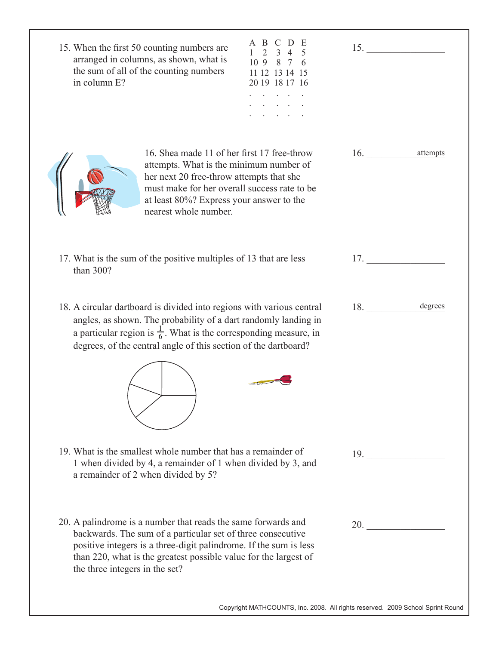| 15. When the first 50 counting numbers are<br>arranged in columns, as shown, what is<br>the sum of all of the counting numbers<br>in column E?                                                                                                                                                          | $2^{\circ}$<br>109<br>8<br>11 12 13 14 15<br>20 19 18 17 16 | 15.                 |
|---------------------------------------------------------------------------------------------------------------------------------------------------------------------------------------------------------------------------------------------------------------------------------------------------------|-------------------------------------------------------------|---------------------|
| 16. Shea made 11 of her first 17 free-throw<br>attempts. What is the minimum number of<br>her next 20 free-throw attempts that she<br>must make for her overall success rate to be<br>at least 80%? Express your answer to the<br>nearest whole number.                                                 |                                                             | 16.<br>attempts     |
| 17. What is the sum of the positive multiples of 13 that are less<br>than 300?                                                                                                                                                                                                                          |                                                             | 17.                 |
| 18. A circular dartboard is divided into regions with various central<br>angles, as shown. The probability of a dart randomly landing in<br>a particular region is $\frac{1}{6}$ . What is the corresponding measure, in<br>degrees, of the central angle of this section of the dartboard?             |                                                             | degrees<br>18.      |
|                                                                                                                                                                                                                                                                                                         |                                                             |                     |
| 19. What is the smallest whole number that has a remainder of<br>1 when divided by 4, a remainder of 1 when divided by 3, and<br>a remainder of 2 when divided by 5?                                                                                                                                    |                                                             | 19.                 |
| 20. A palindrome is a number that reads the same forwards and<br>backwards. The sum of a particular set of three consecutive<br>positive integers is a three-digit palindrome. If the sum is less<br>than 220, what is the greatest possible value for the largest of<br>the three integers in the set? |                                                             | 20. $\qquad \qquad$ |

Copyright MATHCOUNTS, Inc. 2008. All rights reserved. 2009 School Sprint Round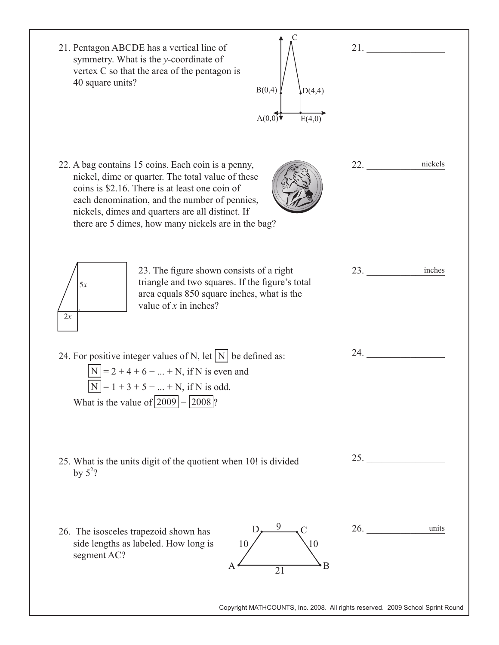